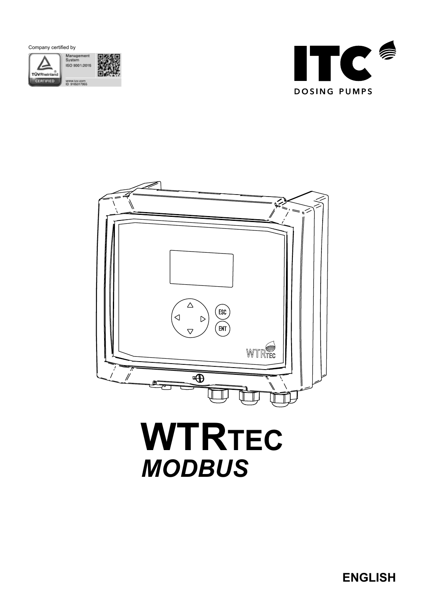





# **WTRTEC** *MODBUS*

**ENGLISH**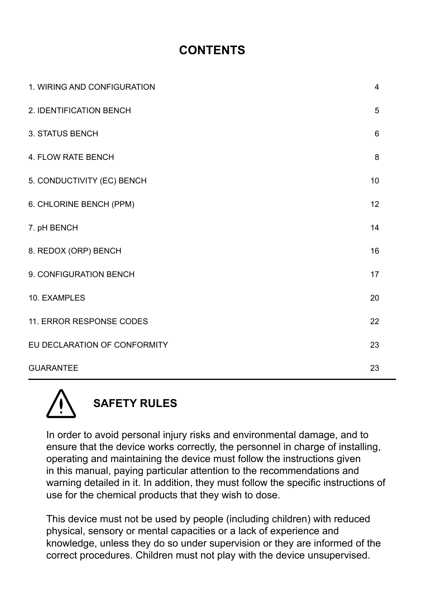#### **CONTENTS**

| 1. WIRING AND CONFIGURATION  | $\overline{4}$ |
|------------------------------|----------------|
| 2. IDENTIFICATION BENCH      | 5              |
| 3. STATUS BENCH              | 6              |
| 4. FLOW RATE BENCH           | 8              |
| 5. CONDUCTIVITY (EC) BENCH   | 10             |
| 6. CHLORINE BENCH (PPM)      | 12             |
| 7. pH BENCH                  | 14             |
| 8. REDOX (ORP) BENCH         | 16             |
| 9. CONFIGURATION BENCH       | 17             |
| 10. EXAMPLES                 | 20             |
| 11. ERROR RESPONSE CODES     | 22             |
| EU DECLARATION OF CONFORMITY | 23             |
| <b>GUARANTEE</b>             | 23             |



In order to avoid personal injury risks and environmental damage, and to ensure that the device works correctly, the personnel in charge of installing, operating and maintaining the device must follow the instructions given in this manual, paying particular attention to the recommendations and warning detailed in it. In addition, they must follow the specific instructions of use for the chemical products that they wish to dose.

This device must not be used by people (including children) with reduced physical, sensory or mental capacities or a lack of experience and knowledge, unless they do so under supervision or they are informed of the correct procedures. Children must not play with the device unsupervised.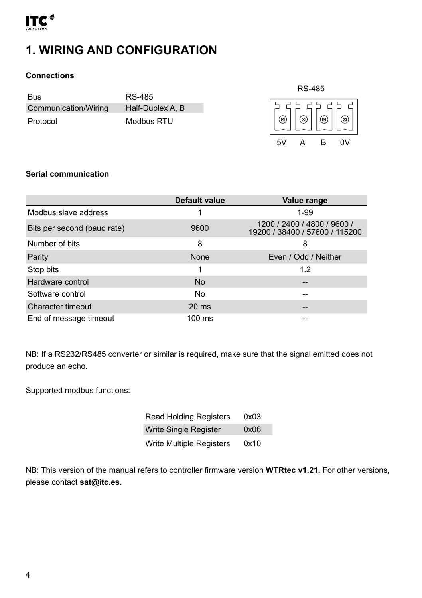<span id="page-3-0"></span>

### **1. WIRING AND CONFIGURATION**

#### **Connections**

| Bus                  | RS-485           |
|----------------------|------------------|
| Communication/Wiring | Half-Duplex A, B |
| Protocol             | Modbus RTU       |



#### **Serial communication**

|                             | <b>Default value</b> | Value range                                                   |
|-----------------------------|----------------------|---------------------------------------------------------------|
| Modbus slave address        |                      | $1 - 99$                                                      |
| Bits per second (baud rate) | 9600                 | 1200 / 2400 / 4800 / 9600 /<br>19200 / 38400 / 57600 / 115200 |
| Number of bits              | 8                    | 8                                                             |
| Parity                      | None                 | Even / Odd / Neither                                          |
| Stop bits                   | 1                    | 12                                                            |
| Hardware control            | <b>No</b>            | --                                                            |
| Software control            | No                   | --                                                            |
| Character timeout           | $20 \text{ ms}$      |                                                               |
| End of message timeout      | $100 \text{ ms}$     |                                                               |

NB: If a RS232/RS485 converter or similar is required, make sure that the signal emitted does not produce an echo.

Supported modbus functions:

| <b>Read Holding Registers</b>   | 0x03 |
|---------------------------------|------|
| <b>Write Single Register</b>    | 0x06 |
| <b>Write Multiple Registers</b> | 0x10 |

NB: This version of the manual refers to controller firmware version **WTRtec v1.21.** For other versions, please contact **sat@itc.es.**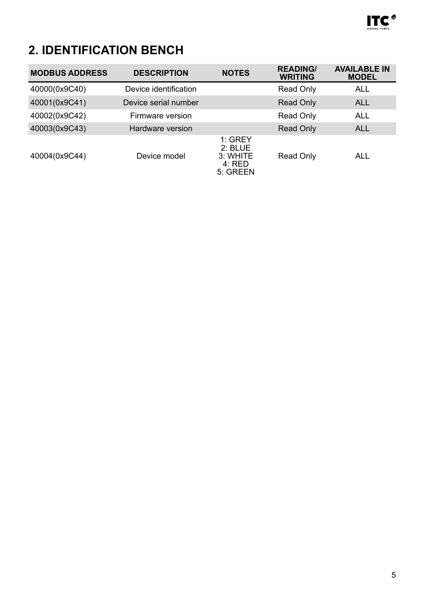

# <span id="page-4-0"></span>**2. IDENTIFICATION BENCH**

| <b>MODBUS ADDRESS</b> | <b>DESCRIPTION</b>    | <b>NOTES</b>                                             | <b>READING/</b><br><b>WRITING</b> | <b>AVAILABLE IN</b><br><b>MODEL</b> |
|-----------------------|-----------------------|----------------------------------------------------------|-----------------------------------|-------------------------------------|
| 40000(0x9C40)         | Device identification |                                                          | Read Only                         | ALL                                 |
| 40001(0x9C41)         | Device serial number  |                                                          | Read Only                         | ALL                                 |
| 40002(0x9C42)         | Firmware version      |                                                          | Read Only                         | ALL                                 |
| 40003(0x9C43)         | Hardware version      |                                                          | Read Only                         | <b>ALL</b>                          |
| 40004(0x9C44)         | Device model          | $1:$ GREY<br>$2:$ BLUE<br>3: WHITE<br>4: RED<br>5. GREEN | Read Only                         | ALL                                 |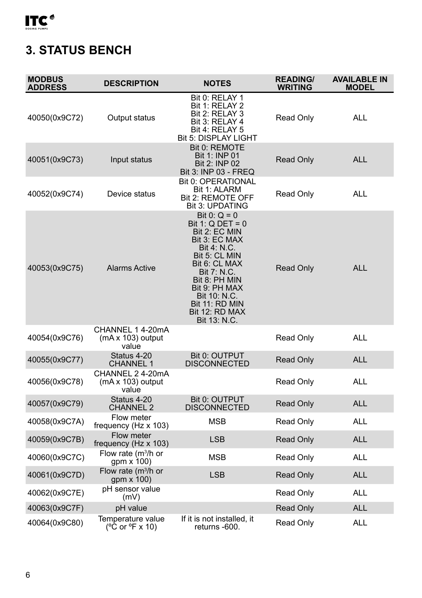<span id="page-5-0"></span>

# **3. STATUS BENCH**

| <b>MODBUS</b><br><b>ADDRESS</b> | <b>DESCRIPTION</b>                             | <b>NOTES</b>                                                                                                                                                                                                                                        | <b>READING/</b><br><b>WRITING</b> | <b>AVAILABLE IN</b><br><b>MODEL</b> |
|---------------------------------|------------------------------------------------|-----------------------------------------------------------------------------------------------------------------------------------------------------------------------------------------------------------------------------------------------------|-----------------------------------|-------------------------------------|
| 40050(0x9C72)                   | Output status                                  | Bit 0: RELAY 1<br>Bit 1: RELAY 2<br>Bit 2: RELAY 3<br>Bit 3: RELAY 4<br>Bit 4: RELAY 5<br><b>Bit 5: DISPLAY LIGHT</b>                                                                                                                               | Read Only                         | <b>ALL</b>                          |
| 40051(0x9C73)                   | Input status                                   | Bit 0: REMOTE<br><b>Bit 1: INP 01</b><br>Bit 2: INP 02<br>Bit 3: INP 03 - FREQ                                                                                                                                                                      | <b>Read Only</b>                  | <b>ALL</b>                          |
| 40052(0x9C74)                   | Device status                                  | <b>Bit 0: OPERATIONAL</b><br>Bit 1: ALARM<br>Bit 2: REMOTE OFF<br>Bit 3: UPDATING                                                                                                                                                                   | Read Only                         | <b>ALL</b>                          |
| 40053(0x9C75)                   | <b>Alarms Active</b>                           | Bit 0: $Q = 0$<br>Bit 1: $Q$ DET = 0<br>Bit 2: EC MIN<br>Bit 3: EC MAX<br>Bit 4: N.C.<br>Bit 5: CL MIN<br>Bit 6: CL MAX<br><b>Bit 7: N.C.</b><br>Bit 8: PH MIN<br>Bit 9: PH MAX<br>Bit 10: N.C.<br>Bit 11: RD MIN<br>Bit 12: RD MAX<br>Bit 13, N.C. | <b>Read Only</b>                  | <b>ALL</b>                          |
| 40054(0x9C76)                   | CHANNEL 1 4-20mA<br>(mA x 103) output<br>value |                                                                                                                                                                                                                                                     | Read Only                         | <b>ALL</b>                          |
| 40055(0x9C77)                   | Status 4-20<br><b>CHANNEL 1</b>                | Bit 0: OUTPUT<br><b>DISCONNECTED</b>                                                                                                                                                                                                                | Read Only                         | <b>ALL</b>                          |
| 40056(0x9C78)                   | CHANNEL 2 4-20mA<br>(mA x 103) output<br>value |                                                                                                                                                                                                                                                     | Read Only                         | <b>ALL</b>                          |
| 40057(0x9C79)                   | Status 4-20<br><b>CHANNEL 2</b>                | Bit 0: OUTPUT<br><b>DISCONNECTED</b>                                                                                                                                                                                                                | <b>Read Only</b>                  | <b>ALL</b>                          |
| 40058(0x9C7A)                   | Flow meter<br>frequency (Hz x 103)             | <b>MSB</b>                                                                                                                                                                                                                                          | Read Only                         | <b>ALL</b>                          |
| 40059(0x9C7B)                   | Flow meter<br>frequency ( $Hz \times 103$ )    | <b>LSB</b>                                                                                                                                                                                                                                          | Read Only                         | <b>ALL</b>                          |
| 40060(0x9C7C)                   | Flow rate ( $m^3/h$ or<br>gpm x 100)           | MSB                                                                                                                                                                                                                                                 | Read Only                         | <b>ALL</b>                          |
| 40061(0x9C7D)                   | Flow rate ( $m^3/h$ or<br>gpm x 100)           | <b>LSB</b>                                                                                                                                                                                                                                          | <b>Read Only</b>                  | <b>ALL</b>                          |
| 40062(0x9C7E)                   | pH sensor value<br>(mV)                        |                                                                                                                                                                                                                                                     | Read Only                         | <b>ALL</b>                          |
| 40063(0x9C7F)                   | pH value                                       |                                                                                                                                                                                                                                                     | Read Only                         | <b>ALL</b>                          |
| 40064(0x9C80)                   | Temperature value<br>(°C or °F x 10)           | If it is not installed, it<br>returns -600.                                                                                                                                                                                                         | Read Only                         | <b>ALL</b>                          |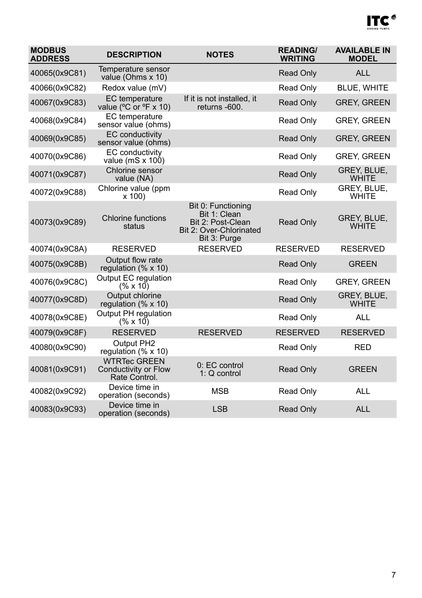# ITC<sup>®</sup>

| <b>MODBUS</b><br><b>ADDRESS</b> | <b>DESCRIPTION</b>                                           | <b>NOTES</b>                                                                                       | <b>READING/</b><br><b>WRITING</b> | <b>AVAILABLE IN</b><br><b>MODEL</b> |
|---------------------------------|--------------------------------------------------------------|----------------------------------------------------------------------------------------------------|-----------------------------------|-------------------------------------|
| 40065(0x9C81)                   | Temperature sensor<br>value (Ohms x 10)                      |                                                                                                    | Read Only                         | <b>ALL</b>                          |
| 40066(0x9C82)                   | Redox value (mV)                                             |                                                                                                    | Read Only                         | <b>BLUE, WHITE</b>                  |
| 40067(0x9C83)                   | <b>EC</b> temperature<br>value (°C or °F x 10)               | If it is not installed, it<br>returns -600.                                                        | <b>Read Only</b>                  | <b>GREY, GREEN</b>                  |
| 40068(0x9C84)                   | <b>EC</b> temperature<br>sensor value (ohms)                 |                                                                                                    | Read Only                         | <b>GREY, GREEN</b>                  |
| 40069(0x9C85)                   | <b>EC</b> conductivity<br>sensor value (ohms)                |                                                                                                    | Read Only                         | <b>GREY, GREEN</b>                  |
| 40070(0x9C86)                   | EC conductivity<br>value (mS $x$ 100)                        |                                                                                                    | Read Only                         | <b>GREY, GREEN</b>                  |
| 40071(0x9C87)                   | Chlorine sensor<br>value (NA)                                |                                                                                                    | Read Only                         | GREY, BLUE,<br><b>WHITE</b>         |
| 40072(0x9C88)                   | Chlorine value (ppm<br>x 100                                 |                                                                                                    | Read Only                         | GREY, BLUE,<br><b>WHITE</b>         |
| 40073(0x9C89)                   | Chlorine functions<br>status                                 | Bit 0: Functioning<br>Bit 1: Clean<br>Bit 2: Post-Clean<br>Bit 2: Over-Chlorinated<br>Bit 3: Purge | <b>Read Only</b>                  | <b>GREY, BLUE,</b><br><b>WHITE</b>  |
| 40074(0x9C8A)                   | <b>RESERVED</b>                                              | <b>RESERVED</b>                                                                                    | <b>RESERVED</b>                   | <b>RESERVED</b>                     |
| 40075(0x9C8B)                   | Output flow rate<br>regulation $(% x 10)$                    |                                                                                                    | <b>Read Only</b>                  | <b>GREEN</b>                        |
| 40076(0x9C8C)                   | Output EC regulation<br>(% x 10)                             |                                                                                                    | Read Only                         | <b>GREY, GREEN</b>                  |
| 40077(0x9C8D)                   | Output chlorine<br>regulation $(% x 10)$                     |                                                                                                    | <b>Read Only</b>                  | GREY, BLUE,<br><b>WHITE</b>         |
| 40078(0x9C8E)                   | Output PH regulation<br>(% x 10)                             |                                                                                                    | Read Only                         | <b>ALL</b>                          |
| 40079(0x9C8F)                   | <b>RESERVED</b>                                              | <b>RESERVED</b>                                                                                    | <b>RESERVED</b>                   | <b>RESERVED</b>                     |
| 40080(0x9C90)                   | Output PH2<br>regulation $(% x 10)$                          |                                                                                                    | Read Only                         | <b>RED</b>                          |
| 40081(0x9C91)                   | <b>WTRTec GREEN</b><br>Conductivity or Flow<br>Rate Control. | 0: EC control<br>$1:Q$ control                                                                     | <b>Read Only</b>                  | <b>GREEN</b>                        |
| 40082(0x9C92)                   | Device time in<br>operation (seconds)                        | <b>MSB</b>                                                                                         | Read Only                         | <b>ALL</b>                          |
| 40083(0x9C93)                   | Device time in<br>operation (seconds)                        | <b>LSB</b>                                                                                         | <b>Read Only</b>                  | <b>ALL</b>                          |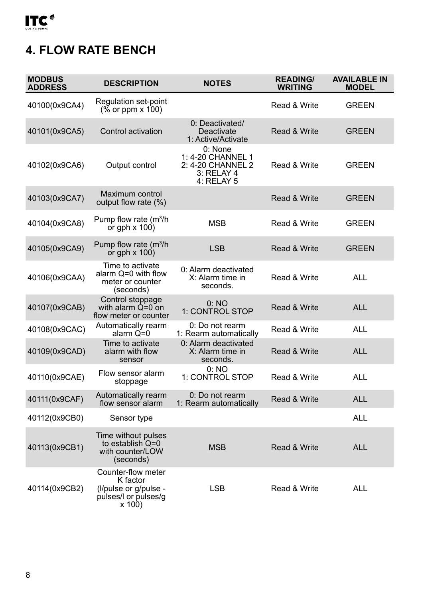# <span id="page-7-0"></span>**4. FLOW RATE BENCH**

| <b>MODBUS</b><br><b>ADDRESS</b> | <b>DESCRIPTION</b>                                                                        | <b>NOTES</b>                                                                  | <b>READING/</b><br><b>WRITING</b> | <b>AVAILABLE IN</b><br><b>MODEL</b> |
|---------------------------------|-------------------------------------------------------------------------------------------|-------------------------------------------------------------------------------|-----------------------------------|-------------------------------------|
| 40100(0x9CA4)                   | Regulation set-point<br>$(\% \text{ or } \text{ppm} \times 100)$                          |                                                                               | Read & Write                      | <b>GREEN</b>                        |
| 40101(0x9CA5)                   | Control activation                                                                        | 0: Deactivated/<br>Deactivate<br>1: Active/Activate                           | Read & Write                      | <b>GREEN</b>                        |
| 40102(0x9CA6)                   | Output control                                                                            | 0: None<br>1: 4-20 CHANNEL 1<br>2: 4-20 CHANNEL 2<br>3: RELAY 4<br>4: RELAY 5 | Read & Write                      | <b>GREEN</b>                        |
| 40103(0x9CA7)                   | Maximum control<br>output flow rate (%)                                                   |                                                                               | Read & Write                      | <b>GREEN</b>                        |
| 40104(0x9CA8)                   | Pump flow rate (m <sup>3</sup> /h<br>or gph $\times$ 100)                                 | <b>MSB</b>                                                                    | Read & Write                      | <b>GREEN</b>                        |
| 40105(0x9CA9)                   | Pump flow rate (m <sup>3</sup> /h<br>or gph $\times$ 100)                                 | <b>LSB</b>                                                                    | Read & Write                      | <b>GREEN</b>                        |
| 40106(0x9CAA)                   | Time to activate<br>alarm Q=0 with flow<br>meter or counter<br>(seconds)                  | 0: Alarm deactivated<br>X: Alarm time in<br>seconds.                          | Read & Write                      | ALL                                 |
| 40107(0x9CAB)                   | Control stoppage<br>with alarm $Q=0$ on<br>flow meter or counter                          | 0:NO<br>1: CONTROL STOP                                                       | Read & Write                      | <b>ALL</b>                          |
| 40108(0x9CAC)                   | Automatically rearm<br>alarm Q=0                                                          | 0: Do not rearm<br>1: Rearm automatically                                     | Read & Write                      | ALL                                 |
| 40109(0x9CAD)                   | Time to activate<br>alarm with flow<br>sensor                                             | 0: Alarm deactivated<br>X: Alarm time in<br>seconds.                          | Read & Write                      | <b>ALL</b>                          |
| 40110(0x9CAE)                   | Flow sensor alarm<br>stoppage                                                             | 0:NO<br>1: CONTROL STOP                                                       | Read & Write                      | <b>ALL</b>                          |
| 40111(0x9CAF)                   | Automatically rearm<br>flow sensor alarm                                                  | 0: Do not rearm<br>1: Rearm automatically                                     | Read & Write                      | <b>ALL</b>                          |
| 40112(0x9CB0)                   | Sensor type                                                                               |                                                                               |                                   | <b>ALL</b>                          |
| 40113(0x9CB1)                   | Time without pulses<br>to establish Q=0<br>with counter/LOW<br>(seconds)                  | <b>MSB</b>                                                                    | Read & Write                      | <b>ALL</b>                          |
| 40114(0x9CB2)                   | Counter-flow meter<br>K factor<br>(I/pulse or g/pulse -<br>pulses/I or pulses/g<br>x 100) | LSB                                                                           | Read & Write                      | <b>ALL</b>                          |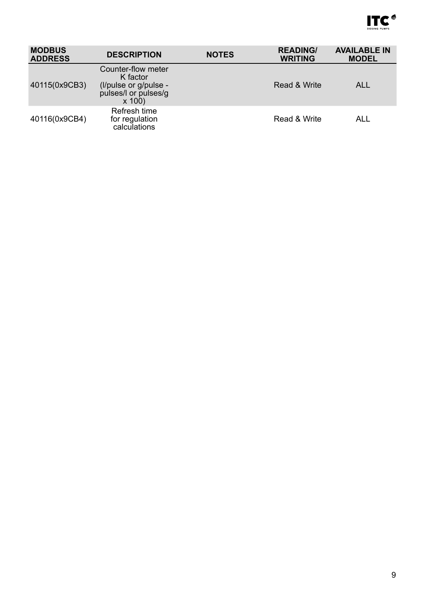

| <b>MODBUS</b><br><b>ADDRESS</b> | <b>DESCRIPTION</b>                                                                          | <b>NOTES</b> | <b>READING/</b><br><b>WRITING</b> | <b>AVAILABLE IN</b><br><b>MODEL</b> |
|---------------------------------|---------------------------------------------------------------------------------------------|--------------|-----------------------------------|-------------------------------------|
| 40115(0x9CB3)                   | Counter-flow meter<br>K factor<br>(I/pulse or g/pulse -<br>pulses/I or pulses/g<br>$x\,100$ |              | Read & Write                      | ALL                                 |
| 40116(0x9CB4)                   | Refresh time<br>for regulation<br>calculations                                              |              | Read & Write                      | ALL                                 |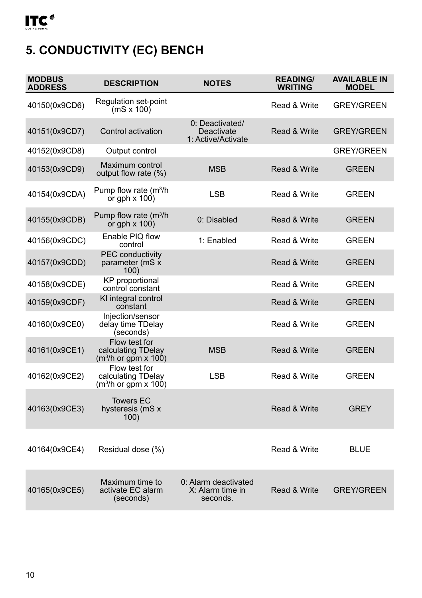# <span id="page-9-0"></span>**5. CONDUCTIVITY (EC) BENCH**

| <b>MODBUS</b><br><b>ADDRESS</b> | <b>DESCRIPTION</b>                                            | <b>NOTES</b>                                         | <b>READING/</b><br><b>WRITING</b> | <b>AVAILABLE IN</b><br><b>MODEL</b> |
|---------------------------------|---------------------------------------------------------------|------------------------------------------------------|-----------------------------------|-------------------------------------|
| 40150(0x9CD6)                   | Regulation set-point<br>$(mS \times 100)$                     |                                                      | Read & Write                      | <b>GREY/GREEN</b>                   |
| 40151(0x9CD7)                   | Control activation                                            | 0: Deactivated/<br>Deactivate<br>1: Active/Activate  | Read & Write                      | <b>GREY/GREEN</b>                   |
| 40152(0x9CD8)                   | Output control                                                |                                                      |                                   | <b>GREY/GREEN</b>                   |
| 40153(0x9CD9)                   | Maximum control<br>output flow rate (%)                       | <b>MSB</b>                                           | Read & Write                      | GREEN                               |
| 40154(0x9CDA)                   | Pump flow rate $(m^3/h)$<br>or gph $\times$ 100)              | <b>LSB</b>                                           | Read & Write                      | <b>GREEN</b>                        |
| 40155(0x9CDB)                   | Pump flow rate (m <sup>3</sup> /h<br>or gph $\times$ 100)     | 0: Disabled                                          | Read & Write                      | GREEN                               |
| 40156(0x9CDC)                   | Enable PIQ flow<br>control                                    | 1: Enabled                                           | Read & Write                      | GREEN                               |
| 40157(0x9CDD)                   | <b>PEC</b> conductivity<br>parameter (mS x<br>100)            |                                                      | Read & Write                      | GREEN                               |
| 40158(0x9CDE)                   | <b>KP</b> proportional<br>control constant                    |                                                      | Read & Write                      | <b>GREEN</b>                        |
| 40159(0x9CDF)                   | KI integral control<br>constant                               |                                                      | Read & Write                      | <b>GREEN</b>                        |
| 40160(0x9CE0)                   | Injection/sensor<br>delay time TDelay<br>(seconds)            |                                                      | Read & Write                      | GREEN                               |
| 40161(0x9CE1)                   | Flow test for<br>calculating TDelay<br>$(m3/h)$ or gpm x 100) | <b>MSB</b>                                           | Read & Write                      | <b>GREEN</b>                        |
| 40162(0x9CE2)                   | Flow test for<br>calculating TDelay<br>$(m3/h)$ or qpm x 100) | <b>LSB</b>                                           | Read & Write                      | <b>GREEN</b>                        |
| 40163(0x9CE3)                   | <b>Towers EC</b><br>hysteresis (mS x<br>100)                  |                                                      | Read & Write                      | <b>GREY</b>                         |
| 40164(0x9CE4)                   | Residual dose (%)                                             |                                                      | Read & Write                      | <b>BLUE</b>                         |
| 40165(0x9CE5)                   | Maximum time to<br>activate EC alarm<br>(seconds)             | 0: Alarm deactivated<br>X: Alarm time in<br>seconds. | Read & Write                      | <b>GREY/GREEN</b>                   |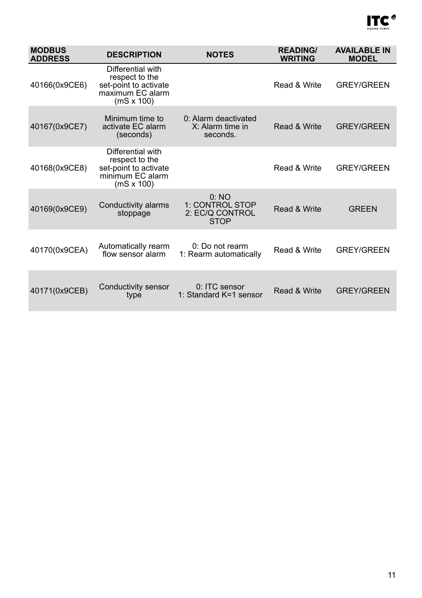

| <b>MODBUS</b><br><b>ADDRESS</b> | <b>DESCRIPTION</b>                                                                                    | <b>NOTES</b>                                              | <b>READING/</b><br><b>WRITING</b> | <b>AVAILABLE IN</b><br><b>MODEL</b> |
|---------------------------------|-------------------------------------------------------------------------------------------------------|-----------------------------------------------------------|-----------------------------------|-------------------------------------|
| 40166(0x9CE6)                   | Differential with<br>respect to the<br>set-point to activate<br>maximum EC alarm<br>$(mS \times 100)$ |                                                           | Read & Write                      | <b>GREY/GREEN</b>                   |
| 40167(0x9CE7)                   | Minimum time to<br>activate EC alarm<br>(seconds)                                                     | 0: Alarm deactivated<br>X: Alarm time in<br>seconds.      | Read & Write                      | <b>GREY/GREEN</b>                   |
| 40168(0x9CE8)                   | Differential with<br>respect to the<br>set-point to activate<br>minimum EC alarm<br>$(mS \times 100)$ |                                                           | Read & Write                      | <b>GREY/GREEN</b>                   |
| 40169(0x9CE9)                   | Conductivity alarms<br>stoppage                                                                       | 0:NO<br>1: CONTROL STOP<br>2: EC/Q CONTROL<br><b>STOP</b> | Read & Write                      | <b>GREEN</b>                        |
| 40170(0x9CEA)                   | Automatically rearm<br>flow sensor alarm                                                              | 0: Do not rearm<br>1: Rearm automatically                 | Read & Write                      | <b>GREY/GREEN</b>                   |
| 40171(0x9CEB)                   | Conductivity sensor<br>type                                                                           | 0: ITC sensor<br>1: Standard K=1 sensor                   | Read & Write                      | <b>GREY/GREEN</b>                   |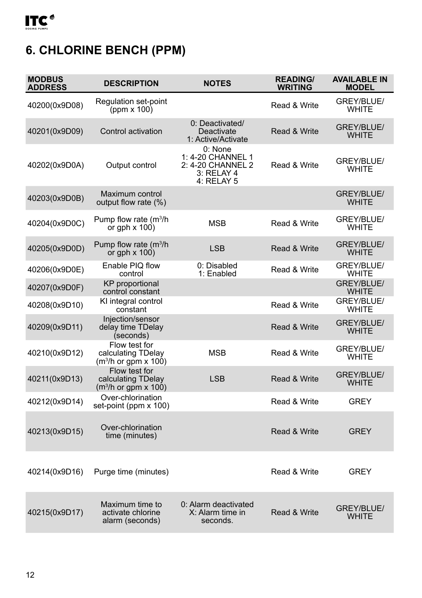# <span id="page-11-0"></span>**6. CHLORINE BENCH (PPM)**

| <b>MODBUS</b><br><b>ADDRESS</b> | <b>DESCRIPTION</b>                                                      | <b>NOTES</b>                                                                  | <b>READING/</b><br><b>WRITING</b> | <b>AVAILABLE IN</b><br><b>MODEL</b> |
|---------------------------------|-------------------------------------------------------------------------|-------------------------------------------------------------------------------|-----------------------------------|-------------------------------------|
| 40200(0x9D08)                   | Regulation set-point<br>(ppm $x 100$ )                                  |                                                                               | Read & Write                      | GREY/BLUE/<br><b>WHITE</b>          |
| 40201(0x9D09)                   | Control activation                                                      | 0: Deactivated/<br>Deactivate<br>1: Active/Activate                           | Read & Write                      | GREY/BLUE/<br><b>WHITE</b>          |
| 40202(0x9D0A)                   | Output control                                                          | 0: None<br>1: 4-20 CHANNEL 1<br>2: 4-20 CHANNEL 2<br>3: RELAY 4<br>4: RELAY 5 | Read & Write                      | GREY/BLUE/<br><b>WHITE</b>          |
| 40203(0x9D0B)                   | Maximum control<br>output flow rate (%)                                 |                                                                               |                                   | GREY/BLUE/<br><b>WHITE</b>          |
| 40204(0x9D0C)                   | Pump flow rate $(m^3/h)$<br>or gph $\times$ 100)                        | <b>MSB</b>                                                                    | Read & Write                      | GREY/BLUE/<br><b>WHITE</b>          |
| 40205(0x9D0D)                   | Pump flow rate $(m^3/h)$<br>or gph $\times$ 100)                        | <b>LSB</b>                                                                    | Read & Write                      | GREY/BLUE/<br><b>WHITE</b>          |
| 40206(0x9D0E)                   | Enable PIQ flow<br>control                                              | 0: Disabled<br>1: Enabled                                                     | Read & Write                      | GREY/BLUE/<br>WHITE                 |
| 40207(0x9D0F)                   | <b>KP</b> proportional<br>control constant                              |                                                                               |                                   | GREY/BLUE/<br><b>WHITE</b>          |
| 40208(0x9D10)                   | KI integral control<br>constant                                         |                                                                               | Read & Write                      | GREY/BLUE/<br><b>WHITE</b>          |
| 40209(0x9D11)                   | Injection/sensor<br>delay time TDelay<br>(seconds)                      |                                                                               | Read & Write                      | GREY/BLUE/<br><b>WHITE</b>          |
| 40210(0x9D12)                   | Flow test for<br>calculating TDelay<br>(m <sup>3</sup> /h or gpm x 100) | <b>MSB</b>                                                                    | Read & Write                      | GREY/BLUE/<br>WHITE                 |
| 40211(0x9D13)                   | Flow test for<br>calculating TDelay<br>$(m3/h)$ or qpm x 100)           | <b>LSB</b>                                                                    | Read & Write                      | GREY/BLUE/<br><b>WHITE</b>          |
| 40212(0x9D14)                   | Over-chlorination<br>set-point (ppm x 100)                              |                                                                               | Read & Write                      | <b>GREY</b>                         |
| 40213(0x9D15)                   | Over-chlorination<br>time (minutes)                                     |                                                                               | Read & Write                      | <b>GREY</b>                         |
| 40214(0x9D16)                   | Purge time (minutes)                                                    |                                                                               | Read & Write                      | <b>GRFY</b>                         |
| 40215(0x9D17)                   | Maximum time to<br>activate chlorine<br>alarm (seconds)                 | 0: Alarm deactivated<br>X: Alarm time in<br>seconds.                          | Read & Write                      | GREY/BLUE/<br><b>WHITE</b>          |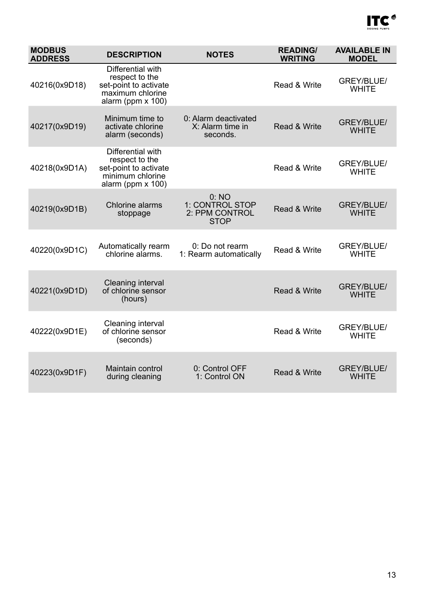

| <b>MODBUS</b><br><b>ADDRESS</b> | <b>DESCRIPTION</b>                                                                                       | <b>NOTES</b>                                                         | <b>READING/</b><br><b>WRITING</b> | <b>AVAILABLE IN</b><br><b>MODEL</b> |
|---------------------------------|----------------------------------------------------------------------------------------------------------|----------------------------------------------------------------------|-----------------------------------|-------------------------------------|
| 40216(0x9D18)                   | Differential with<br>respect to the<br>set-point to activate<br>maximum chlorine<br>alarm (ppm $x$ 100)  |                                                                      | Read & Write                      | GREY/BLUE/<br><b>WHITE</b>          |
| 40217(0x9D19)                   | Minimum time to<br>activate chlorine<br>alarm (seconds)                                                  | 0: Alarm deactivated<br>Read & Write<br>X: Alarm time in<br>seconds. |                                   | GREY/BLUE/<br><b>WHITE</b>          |
| 40218(0x9D1A)                   | Differential with<br>respect to the<br>set-point to activate<br>minimum chlorine<br>alarm (ppm $x 100$ ) |                                                                      | Read & Write                      | GREY/BLUE/<br><b>WHITE</b>          |
| 40219(0x9D1B)                   | Chlorine alarms<br>stoppage                                                                              | 0:NO<br>1: CONTROL STOP<br>2: PPM CONTROL<br><b>STOP</b>             | Read & Write                      | GREY/BLUE/<br><b>WHITE</b>          |
| 40220(0x9D1C)                   | Automatically rearm<br>chlorine alarms.                                                                  | 0: Do not rearm<br>1: Rearm automatically                            | Read & Write                      | GREY/BLUE/<br><b>WHITE</b>          |
| 40221(0x9D1D)                   | Cleaning interval<br>of chlorine sensor<br>(hours)                                                       |                                                                      | Read & Write                      | GREY/BLUE/<br><b>WHITE</b>          |
| 40222(0x9D1E)                   | Cleaning interval<br>of chlorine sensor<br>(seconds)                                                     |                                                                      | Read & Write                      | GREY/BLUE/<br><b>WHITE</b>          |
| 40223(0x9D1F)                   | Maintain control<br>during cleaning                                                                      | 0: Control OFF<br>1: Control ON                                      | Read & Write                      | GREY/BLUE/<br><b>WHITE</b>          |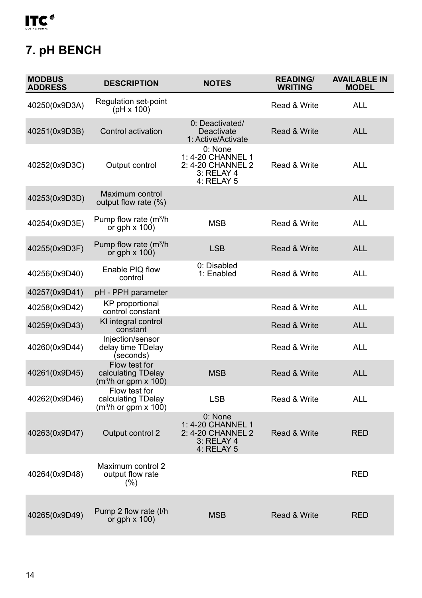<span id="page-13-0"></span>

# **7. pH BENCH**

| <b>MODBUS</b><br><b>ADDRESS</b> | <b>DESCRIPTION</b>                                                      | <b>NOTES</b>                                                                    | <b>READING/</b><br><b>WRITING</b> | <b>AVAILABLE IN</b><br><b>MODEL</b> |
|---------------------------------|-------------------------------------------------------------------------|---------------------------------------------------------------------------------|-----------------------------------|-------------------------------------|
| 40250(0x9D3A)                   | Regulation set-point<br>(pH x 100)                                      |                                                                                 | Read & Write                      | ALL                                 |
| 40251(0x9D3B)                   | Control activation                                                      | 0: Deactivated/<br>Deactivate<br>1: Active/Activate                             | <b>Read &amp; Write</b>           | <b>ALL</b>                          |
| 40252(0x9D3C)                   | Output control                                                          | 0: None<br>1: 4-20 CHANNEL 1<br>2: 4-20 CHANNEL 2<br>3: RELAY 4<br>4: RELAY 5   | Read & Write                      | ALL                                 |
| 40253(0x9D3D)                   | Maximum control<br>output flow rate (%)                                 |                                                                                 |                                   | <b>ALL</b>                          |
| 40254(0x9D3E)                   | Pump flow rate (m <sup>3</sup> /h<br>or gph $\times$ 100)               | <b>MSB</b>                                                                      | Read & Write                      | <b>ALL</b>                          |
| 40255(0x9D3F)                   | Pump flow rate $(m^3/h)$<br>or gph $\times$ 100)                        | <b>LSB</b>                                                                      | Read & Write                      | <b>ALL</b>                          |
| 40256(0x9D40)                   | Enable PIO flow<br>control                                              | 0: Disabled<br>1: Enabled                                                       | Read & Write                      | ALL                                 |
| 40257(0x9D41)                   | pH - PPH parameter                                                      |                                                                                 |                                   |                                     |
| 40258(0x9D42)                   | <b>KP</b> proportional<br>control constant                              |                                                                                 | Read & Write                      | <b>ALL</b>                          |
| 40259(0x9D43)                   | KI integral control<br>constant                                         |                                                                                 | Read & Write                      | <b>ALL</b>                          |
| 40260(0x9D44)                   | Injection/sensor<br>delay time TDelay<br>(seconds)                      |                                                                                 | Read & Write                      | ALL                                 |
| 40261(0x9D45)                   | Flow test for<br>calculating TDelay<br>(m <sup>3</sup> /h or gpm x 100) | <b>MSB</b>                                                                      | Read & Write                      | <b>ALL</b>                          |
| 40262(0x9D46)                   | Flow test for<br>calculating TDelay<br>(m <sup>3</sup> /h or gpm x 100) | <b>LSB</b>                                                                      | Read & Write                      | <b>ALL</b>                          |
| 40263(0x9D47)                   | Output control 2                                                        | $0:$ None<br>1: 4-20 CHANNEL 1<br>2: 4-20 CHANNEL 2<br>3: RELAY 4<br>4: RELAY 5 | Read & Write                      | <b>RED</b>                          |
| 40264(0x9D48)                   | Maximum control 2<br>output flow rate<br>(%)                            |                                                                                 |                                   | <b>RED</b>                          |
| 40265(0x9D49)                   | Pump 2 flow rate (I/h<br>or gph $\times$ 100)                           | <b>MSB</b>                                                                      | Read & Write                      | <b>RFD</b>                          |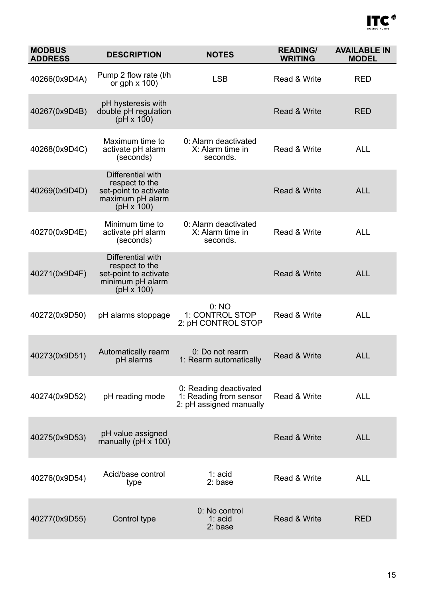

| <b>MODBUS</b><br><b>ADDRESS</b> | <b>DESCRIPTION</b>                                                                                    | <b>READING/</b><br><b>NOTES</b><br><b>WRITING</b>                           |              | <b>AVAILABLE IN</b><br><b>MODEL</b> |
|---------------------------------|-------------------------------------------------------------------------------------------------------|-----------------------------------------------------------------------------|--------------|-------------------------------------|
| 40266(0x9D4A)                   | Pump 2 flow rate (I/h<br>or gph $\times$ 100)                                                         | <b>LSB</b>                                                                  | Read & Write | <b>RED</b>                          |
| 40267(0x9D4B)                   | pH hysteresis with<br>double pH regulation<br>$(pH \times 100)$                                       |                                                                             | Read & Write | <b>RED</b>                          |
| 40268(0x9D4C)                   | Maximum time to<br>activate pH alarm<br>(seconds)                                                     | 0: Alarm deactivated<br>X: Alarm time in<br>seconds.                        | Read & Write | <b>ALL</b>                          |
| 40269(0x9D4D)                   | Differential with<br>respect to the<br>set-point to activate<br>maximum pH alarm<br>$(pH \times 100)$ |                                                                             | Read & Write | <b>ALL</b>                          |
| 40270(0x9D4E)                   | Minimum time to<br>activate pH alarm<br>(seconds)                                                     | 0: Alarm deactivated<br>X: Alarm time in<br>seconds                         | Read & Write | <b>ALL</b>                          |
| 40271(0x9D4F)                   | Differential with<br>respect to the<br>set-point to activate<br>minimum pH alarm<br>$(pH \times 100)$ |                                                                             | Read & Write | <b>ALL</b>                          |
| 40272(0x9D50)                   | pH alarms stoppage                                                                                    | 0:NO<br>1: CONTROL STOP<br>2: pH CONTROL STOP                               | Read & Write | <b>ALL</b>                          |
| 40273(0x9D51)                   | Automatically rearm<br>pH alarms                                                                      | 0: Do not rearm<br>1: Rearm automatically                                   | Read & Write | <b>ALL</b>                          |
| 40274(0x9D52)                   | pH reading mode                                                                                       | 0: Reading deactivated<br>1: Reading from sensor<br>2: pH assigned manually | Read & Write | <b>ALL</b>                          |
| 40275(0x9D53)                   | pH value assigned<br>manually ( $pH \times 100$ )                                                     |                                                                             | Read & Write | <b>ALL</b>                          |
| 40276(0x9D54)                   | Acid/base control<br>type                                                                             | 1: acid<br>2: base                                                          | Read & Write | <b>ALL</b>                          |
| 40277(0x9D55)                   | Control type                                                                                          | 0: No control<br>$1: \text{acid}$<br>2: base                                | Read & Write | <b>RED</b>                          |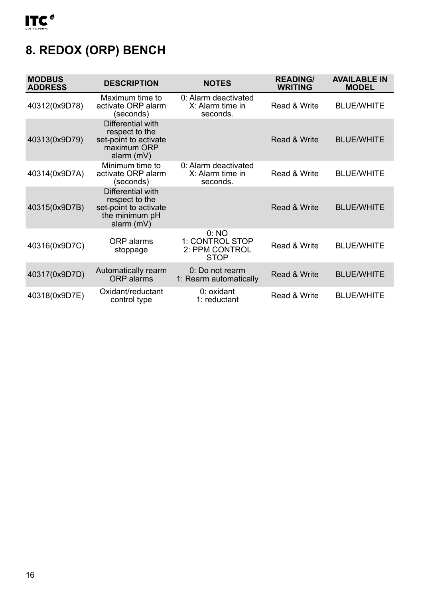# <span id="page-15-0"></span>**8. REDOX (ORP) BENCH**

| <b>MODBUS</b><br><b>ADDRESS</b> | <b>DESCRIPTION</b>                                                                             | <b>NOTES</b>                                              | <b>READING/</b><br>WRITING | <b>AVAILABLE IN</b><br><b>MODEL</b> |
|---------------------------------|------------------------------------------------------------------------------------------------|-----------------------------------------------------------|----------------------------|-------------------------------------|
| 40312(0x9D78)                   | Maximum time to<br>activate ORP alarm<br>(seconds)                                             | 0: Alarm deactivated<br>X: Alarm time in<br>seconds.      | Read & Write               | <b>BLUE/WHITE</b>                   |
| 40313(0x9D79)                   | Differential with<br>respect to the<br>set-point to activate<br>maximum ORP<br>alarm $(mV)$    |                                                           | Read & Write               | <b>BLUE/WHITE</b>                   |
| 40314(0x9D7A)                   | Minimum time to<br>activate ORP alarm<br>(seconds)                                             | 0: Alarm deactivated<br>X: Alarm time in<br>seconds.      | Read & Write               | <b>BLUE/WHITE</b>                   |
| 40315(0x9D7B)                   | Differential with<br>respect to the<br>set-point to activate<br>the minimum pH<br>alarm $(mV)$ |                                                           | Read & Write               | <b>BLUE/WHITE</b>                   |
| 40316(0x9D7C)                   | ORP alarms<br>stoppage                                                                         | 0: NO<br>1: CONTROL STOP<br>2: PPM CONTROL<br><b>STOP</b> | Read & Write               | <b>BLUE/WHITE</b>                   |
| 40317(0x9D7D)                   | Automatically rearm<br><b>ORP</b> alarms                                                       | 0: Do not rearm<br>1: Rearm automatically                 | Read & Write               | <b>BLUE/WHITE</b>                   |
| 40318(0x9D7E)                   | Oxidant/reductant<br>control type                                                              | $0:$ oxidant<br>1: reductant                              | Read & Write               | <b>BLUE/WHITE</b>                   |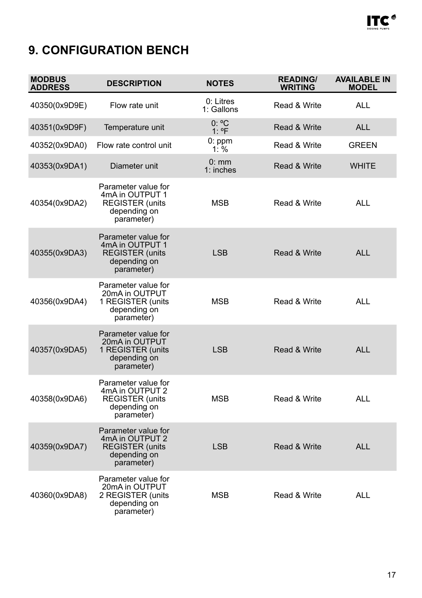

# <span id="page-16-0"></span>**9. CONFIGURATION BENCH**

| <b>MODBUS</b><br><b>ADDRESS</b> | <b>DESCRIPTION</b>                                                                              | <b>NOTES</b>            | <b>READING/</b><br><b>WRITING</b> | <b>AVAILABLE IN</b><br><b>MODEL</b> |
|---------------------------------|-------------------------------------------------------------------------------------------------|-------------------------|-----------------------------------|-------------------------------------|
| 40350(0x9D9E)                   | Flow rate unit                                                                                  | 0: Litres<br>1: Gallons | Read & Write                      | <b>ALL</b>                          |
| 40351(0x9D9F)                   | Temperature unit                                                                                | $0: {}^{0}C$<br>$1:$ °F | Read & Write                      | <b>ALL</b>                          |
| 40352(0x9DA0)                   | Flow rate control unit                                                                          | 0:ppm<br>$1: \%$        | Read & Write                      | <b>GREEN</b>                        |
| 40353(0x9DA1)                   | Diameter unit                                                                                   | 0:mm<br>$1:$ inches     | <b>Read &amp; Write</b>           | <b>WHITE</b>                        |
| 40354(0x9DA2)                   | Parameter value for<br>4mA in OUTPUT 1<br><b>REGISTER (units</b><br>depending on<br>parameter)  | <b>MSB</b>              | Read & Write                      | <b>ALL</b>                          |
| 40355(0x9DA3)                   | Parameter value for<br>4mA in OUTPUT 1<br><b>REGISTER (units)</b><br>depending on<br>parameter) | <b>LSB</b>              | <b>Read &amp; Write</b>           | <b>ALL</b>                          |
| 40356(0x9DA4)                   | Parameter value for<br>20mA in OUTPUT<br>1 REGISTER (units<br>depending on<br>parameter)        | <b>MSB</b>              | Read & Write                      | <b>ALL</b>                          |
| 40357(0x9DA5)                   | Parameter value for<br>20mA in OUTPUT<br>1 REGISTER (units<br>depending on<br>parameter)        | <b>LSB</b>              | Read & Write                      | <b>ALL</b>                          |
| 40358(0x9DA6)                   | Parameter value for<br>4mA in OUTPUT 2<br><b>REGISTER (units)</b><br>depending on<br>parameter) | MSB                     | Read & Write                      | <b>ALL</b>                          |
| 40359(0x9DA7)                   | Parameter value for<br>4mA in OUTPUT 2<br><b>REGISTER (units</b><br>depending on<br>parameter)  | <b>LSB</b>              | Read & Write                      | <b>ALL</b>                          |
| 40360(0x9DA8)                   | Parameter value for<br>20mA in OUTPUT<br>2 REGISTER (units<br>depending on<br>parameter)        | <b>MSB</b>              | Read & Write                      | <b>ALL</b>                          |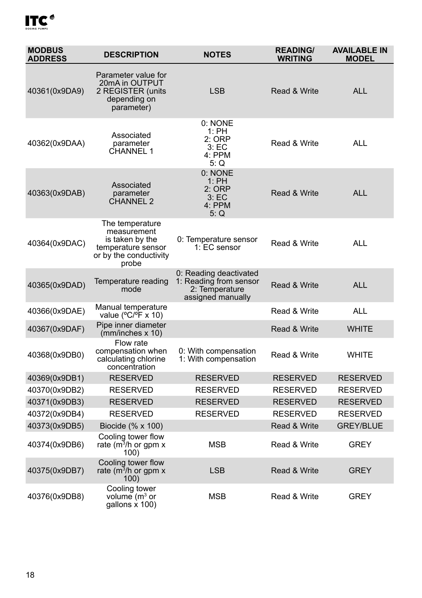| <b>MODBUS</b><br><b>ADDRESS</b> | <b>DESCRIPTION</b>                                                                                         | <b>NOTES</b>                                                                            | <b>READING/</b><br><b>WRITING</b> | <b>AVAILABLE IN</b><br><b>MODEL</b> |
|---------------------------------|------------------------------------------------------------------------------------------------------------|-----------------------------------------------------------------------------------------|-----------------------------------|-------------------------------------|
| 40361(0x9DA9)                   | Parameter value for<br>20mA in OUTPUT<br>2 REGISTER (units<br>depending on<br>parameter)                   | LSB                                                                                     | Read & Write                      | <b>ALL</b>                          |
| 40362(0x9DAA)                   | Associated<br>parameter<br>CHANNEL 1                                                                       | 0: NONE<br>1:PH<br>2:ORP<br>3: EC<br>4: PPM<br>5: Q                                     | Read & Write                      | <b>ALL</b>                          |
| 40363(0x9DAB)                   | Associated<br>parameter<br>CHANNEL 2                                                                       | 0: NONE<br>1:PH<br>2: ORP<br>3: EC<br>4: PPM<br>5: Q                                    | Read & Write                      | <b>ALL</b>                          |
| 40364(0x9DAC)                   | The temperature<br>measurement<br>is taken by the<br>temperature sensor<br>or by the conductivity<br>probe | 0: Temperature sensor<br>1: EC sensor                                                   | Read & Write                      | <b>ALL</b>                          |
| 40365(0x9DAD)                   | Temperature reading<br>mode                                                                                | 0: Reading deactivated<br>1: Reading from sensor<br>2: Temperature<br>assigned manually | Read & Write                      | <b>ALL</b>                          |
| 40366(0x9DAE)                   | Manual temperature<br>value ( $^{\circ}$ C/ $^{\circ}$ F x 10)                                             |                                                                                         | Read & Write                      | <b>ALL</b>                          |
| 40367(0x9DAF)                   | Pipe inner diameter<br>(mm/inches x 10)                                                                    |                                                                                         | Read & Write                      | <b>WHITE</b>                        |
| 40368(0x9DB0)                   | Flow rate<br>compensation when<br>calculating chlorine<br>concentration                                    | 0: With compensation<br>1: With compensation                                            | Read & Write                      | <b>WHITE</b>                        |
| 40369(0x9DB1)                   | <b>RESERVED</b>                                                                                            | <b>RESERVED</b>                                                                         | <b>RESERVED</b>                   | <b>RESERVED</b>                     |
| 40370(0x9DB2)                   | <b>RESERVED</b>                                                                                            | <b>RESERVED</b>                                                                         | <b>RESERVED</b>                   | <b>RESERVED</b>                     |
| 40371(0x9DB3)                   | <b>RESERVED</b>                                                                                            | <b>RESERVED</b>                                                                         | <b>RESERVED</b>                   | <b>RESERVED</b>                     |
| 40372(0x9DB4)                   | <b>RESERVED</b>                                                                                            | <b>RESERVED</b>                                                                         | <b>RESERVED</b>                   | <b>RESERVED</b>                     |
| 40373(0x9DB5)                   | Biocide (% x 100)                                                                                          |                                                                                         | Read & Write                      | <b>GREY/BLUE</b>                    |
| 40374(0x9DB6)                   | Cooling tower flow<br>rate ( $m^3/h$ or gpm x<br>100)                                                      | <b>MSB</b>                                                                              | Read & Write                      | <b>GREY</b>                         |
| 40375(0x9DB7)                   | Cooling tower flow<br>rate ( $m^3/h$ or gpm x<br>100)                                                      | <b>LSB</b>                                                                              | Read & Write                      | <b>GREY</b>                         |
| 40376(0x9DB8)                   | Cooling tower<br>volume (m <sup>3</sup> or<br>gallons x 100)                                               | MSB                                                                                     | Read & Write                      | <b>GREY</b>                         |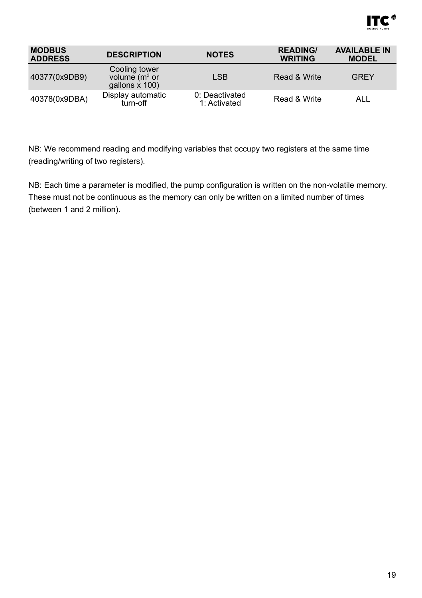

| <b>MODBUS</b><br><b>ADDRESS</b> | <b>DESCRIPTION</b>                                    | <b>NOTES</b>                   | <b>READING/</b><br><b>WRITING</b> | <b>AVAILABLE IN</b><br><b>MODEL</b> |
|---------------------------------|-------------------------------------------------------|--------------------------------|-----------------------------------|-------------------------------------|
| 40377(0x9DB9)                   | Cooling tower<br>volume $(m^3$ or<br>qallons $x$ 100) | <b>LSB</b>                     | Read & Write                      | <b>GREY</b>                         |
| 40378(0x9DBA)                   | Display automatic<br>turn-off                         | 0: Deactivated<br>1: Activated | Read & Write                      | ALL                                 |

NB: We recommend reading and modifying variables that occupy two registers at the same time (reading/writing of two registers).

NB: Each time a parameter is modified, the pump configuration is written on the non-volatile memory. These must not be continuous as the memory can only be written on a limited number of times (between 1 and 2 million).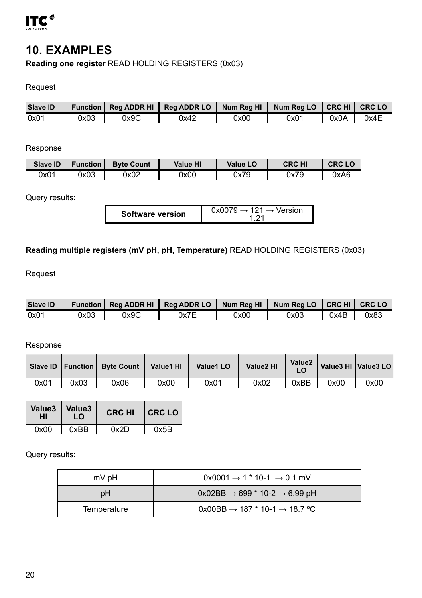<span id="page-19-0"></span>

#### **10. EXAMPLES**

**Reading one register** READ HOLDING REGISTERS (0x03)

#### Request

|      |      |      | Slave ID   Function   Reg ADDR HI   Reg ADDR LO   Num Reg HI   Num Reg LO   CRC HI   CRC LO |      |      |                     |      |
|------|------|------|---------------------------------------------------------------------------------------------|------|------|---------------------|------|
| 0x01 | 0x03 | 0x9C | 0x42                                                                                        | 0x00 | 0x01 | $\sqrt{0 \times 0}$ | 0x4E |

#### Response

| Slave ID | <b>I</b> Function I | <b>Byte Count</b> | Value HI | Value LO | <b>CRC HI</b> | <b>CRC LO</b> |
|----------|---------------------|-------------------|----------|----------|---------------|---------------|
| 0x01     | 0x03                | 0x02              | 0x00     | 0x79     | 0x79          | 0xA6          |

#### Query results:

| <b>Software version</b> |
|-------------------------|
|-------------------------|

#### **Reading multiple registers (mV pH, pH, Temperature)** READ HOLDING REGISTERS (0x03)

#### Request

| Slave ID |      |      | Function   Reg ADDR HI   Reg ADDR LO   Num Reg HI   Num Reg LO   CRC HI   CRC LO |      |      |      |      |
|----------|------|------|----------------------------------------------------------------------------------|------|------|------|------|
| 0x01     | 0x03 | 0x9C | 0x7E                                                                             | 0x00 | 0x03 | 0x4B | 0x83 |

#### Response

|      |      | Slave ID   Function   Byte Count   Value1 HI |      | Value1 <sub>LO</sub> | Value2 HI |      |      | Value2   Value3 HI   Value3 LO |
|------|------|----------------------------------------------|------|----------------------|-----------|------|------|--------------------------------|
| 0x01 | 0x03 | 0x06                                         | 0x00 | 0x01                 | 0x02      | 0xBB | 0x00 | 0x00                           |

| нι   | Value3   Value3  <br>I O | <b>CRC HI</b> | I CRC LO |  |
|------|--------------------------|---------------|----------|--|
| 0x00 | 0xBB                     | 0x2D          | 0x5B     |  |

Query results:

| mV pH       | $0x0001 \rightarrow 1 * 10-1 \rightarrow 0.1$ mV    |  |  |
|-------------|-----------------------------------------------------|--|--|
| pН          | $0x02BB \rightarrow 699 * 10-2 \rightarrow 6.99 pH$ |  |  |
| Temperature | 0x00BB → 187 $*$ 10-1 → 18.7 °C                     |  |  |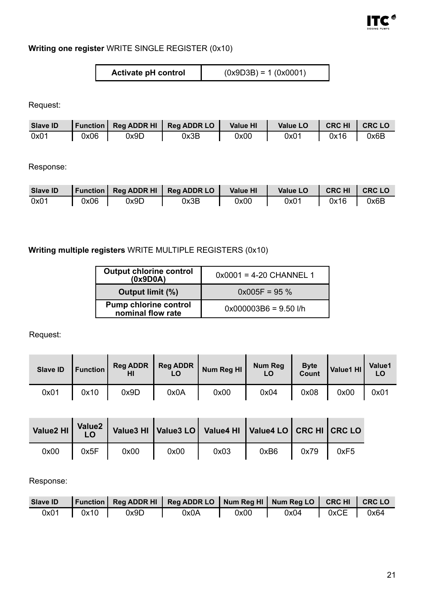

#### **Writing one register** WRITE SINGLE REGISTER (0x10)

| Activate pH control | $(0x9D3B) = 1 (0x0001)$ |
|---------------------|-------------------------|
|---------------------|-------------------------|

Request:

| Slave ID |      |      | Function   Reg ADDR HI   Reg ADDR LO   Value HI |      | Value LO   CRC HI   CRC LO |      |      |
|----------|------|------|-------------------------------------------------|------|----------------------------|------|------|
| 0x01     | 0x06 | 0x9D | 0x3B                                            | 0x00 | 0x01                       | 0x16 | 0x6B |

Response:

|      |      |      | Slave ID   Function   Reg ADDR HI   Reg ADDR LO   Value HI |      | Value LO | CRCHI CRCLO |      |
|------|------|------|------------------------------------------------------------|------|----------|-------------|------|
| 0x01 | 0x06 | 0x9D | 0x3B                                                       | 0x00 | 0x01     | $0x16$      | 0x6B |

#### **Writing multiple registers** WRITE MULTIPLE REGISTERS (0x10)

| Output chlorine control<br>(0x9D0A)        | $0x0001 = 4-20$ CHANNEL 1 |
|--------------------------------------------|---------------------------|
| Output limit (%)                           | $0x005F = 95%$            |
| Pump chlorine control<br>nominal flow rate | $0x000003B6 = 9.50$ I/h   |

Request:

| Slave ID | Function |      | Reg ADDR   Reg ADDR<br>LO | Num Reg HI | Num Reg | <b>Byte</b><br>Count | Value1 HI | Value1<br>LO |
|----------|----------|------|---------------------------|------------|---------|----------------------|-----------|--------------|
| 0x01     | 0x10     | 0x9D | 0x0A                      | 0x00       | 0x04    | 0x08                 | 0x00      | 0x01         |

|      |      |      |      | Value2 HI Value2 Value3 HI Value3 LO Value4 HI Value4 LO CRC HI CRC LO |      |      |      |
|------|------|------|------|------------------------------------------------------------------------|------|------|------|
| 0x00 | 0x5F | 0x00 | 0x00 | 0x03                                                                   | 0xB6 | 0x79 | 0xF5 |

#### Response:

|                 |      | Slave ID   Function   Reg ADDR HI   Reg ADDR LO   Num Reg HI   Num Reg LO   CRC HI   CRC LO |      |      |             |  |
|-----------------|------|---------------------------------------------------------------------------------------------|------|------|-------------|--|
| $0x01$   $0x10$ | 0x9D | 0x0A                                                                                        | 0x00 | 0x04 | 0xCE   0x64 |  |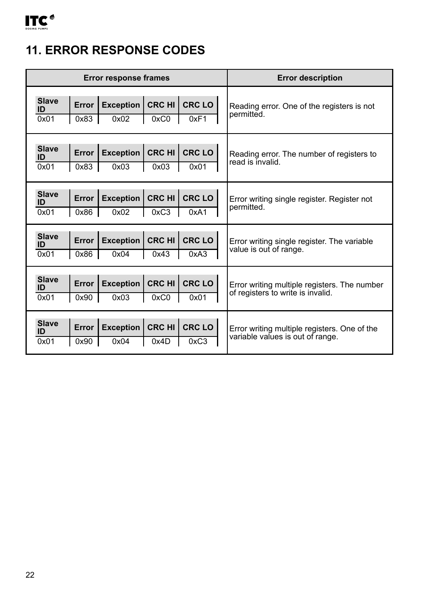# <span id="page-21-0"></span>**11. ERROR RESPONSE CODES**

|                            |                 | <b>Error response frames</b> |                       | <b>Error description</b> |                                                                                   |
|----------------------------|-----------------|------------------------------|-----------------------|--------------------------|-----------------------------------------------------------------------------------|
| <b>Slave</b><br>ID<br>0x01 | Error<br>0x83   | <b>Exception</b><br>0x02     | <b>CRC HI</b><br>0xC0 | CRC LO<br>0xF1           | Reading error. One of the registers is not<br>permitted.                          |
| <b>Slave</b><br>ID<br>0x01 | Error<br>0x83   | <b>Exception</b><br>0x03     | <b>CRC HI</b><br>0x03 | CRC LO<br>0x01           | Reading error. The number of registers to<br>read is invalid.                     |
| <b>Slave</b><br>ID<br>0x01 | Error<br>0x86   | <b>Exception</b><br>0x02     | <b>CRC HI</b><br>0xC3 | CRC LO<br>0xA1           | Error writing single register. Register not<br>permitted.                         |
| <b>Slave</b><br>ID<br>0x01 | Error<br>0x86   | <b>Exception</b><br>0x04     | <b>CRC HI</b><br>0x43 | CRC LO<br>0xA3           | Error writing single register. The variable<br>value is out of range.             |
| <b>Slave</b><br>ID<br>0x01 | Error I<br>0x90 | <b>Exception</b><br>0x03     | <b>CRC HI</b><br>0xC0 | CRC LO<br>0x01           | Error writing multiple registers. The number<br>of registers to write is invalid. |
| <b>Slave</b><br>ID<br>0x01 | Error<br>0x90   | <b>Exception</b><br>0x04     | <b>CRC HI</b><br>0x4D | <b>CRC LO</b><br>0xC3    | Error writing multiple registers. One of the<br>variable values is out of range.  |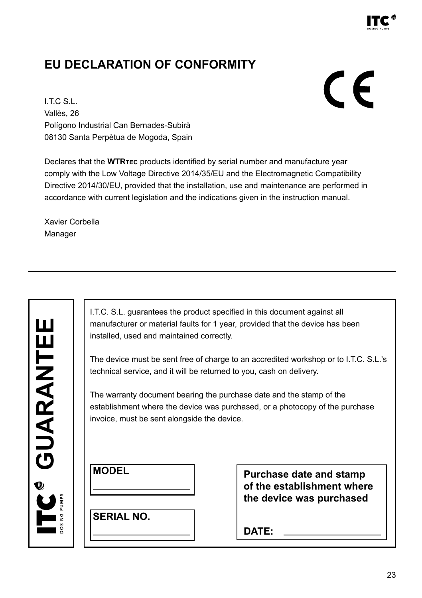

#### <span id="page-22-0"></span>**EU DECLARATION OF CONFORMITY**

# CE

I.T.C S.L. Vallès, 26 Polígono Industrial Can Bernades-Subirà 08130 Santa Perpètua de Mogoda, Spain

Declares that the **WTRTEC** products identified by serial number and manufacture year comply with the Low Voltage Directive 2014/35/EU and the Electromagnetic Compatibility Directive 2014/30/EU, provided that the installation, use and maintenance are performed in accordance with current legislation and the indications given in the instruction manual.

Xavier Corbella Manager

| ֧֧֪֪֪֧֧֚֚֚֚֚֚֚֚֚֚֚֚֚֚֚֚֚֚֚֚֚֚֚֚֚֚֚֚֚֚֚֚֝֝֟֓֡֟֓֡֟֓֡֡֟֝֓֝֬֝ |
|-----------------------------------------------------------|
| 9                                                         |
|                                                           |
|                                                           |

I.T.C. S.L. guarantees the product specified in this document against all manufacturer or material faults for 1 year, provided that the device has been installed, used and maintained correctly.

The device must be sent free of charge to an accredited workshop or to I.T.C. S.L.'s technical service, and it will be returned to you, cash on delivery.

The warranty document bearing the purchase date and the stamp of the establishment where the device was purchased, or a photocopy of the purchase invoice, must be sent alongside the device.

**SERIAL NO.**

**Purchase date and stamp of the establishment where the device was purchased**

**DATE:**